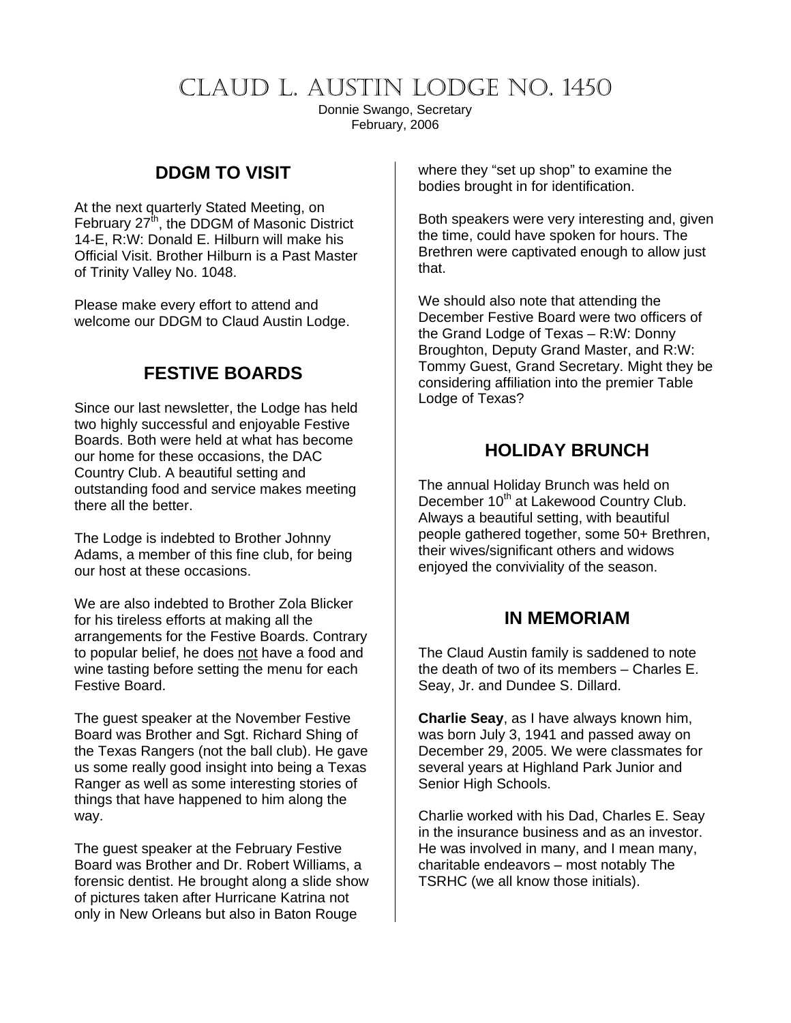# CLAUD L. AUSTIN LODGE NO. 1450

Donnie Swango, Secretary February, 2006

## **DDGM TO VISIT**

At the next quarterly Stated Meeting, on February 27<sup>th</sup>, the DDGM of Masonic District 14-E, R:W: Donald E. Hilburn will make his Official Visit. Brother Hilburn is a Past Master of Trinity Valley No. 1048.

Please make every effort to attend and welcome our DDGM to Claud Austin Lodge.

#### **FESTIVE BOARDS**

Since our last newsletter, the Lodge has held two highly successful and enjoyable Festive Boards. Both were held at what has become our home for these occasions, the DAC Country Club. A beautiful setting and outstanding food and service makes meeting there all the better.

The Lodge is indebted to Brother Johnny Adams, a member of this fine club, for being our host at these occasions.

We are also indebted to Brother Zola Blicker for his tireless efforts at making all the arrangements for the Festive Boards. Contrary to popular belief, he does not have a food and wine tasting before setting the menu for each Festive Board.

The guest speaker at the November Festive Board was Brother and Sgt. Richard Shing of the Texas Rangers (not the ball club). He gave us some really good insight into being a Texas Ranger as well as some interesting stories of things that have happened to him along the way.

The guest speaker at the February Festive Board was Brother and Dr. Robert Williams, a forensic dentist. He brought along a slide show of pictures taken after Hurricane Katrina not only in New Orleans but also in Baton Rouge

where they "set up shop" to examine the bodies brought in for identification.

Both speakers were very interesting and, given the time, could have spoken for hours. The Brethren were captivated enough to allow just that.

We should also note that attending the December Festive Board were two officers of the Grand Lodge of Texas – R:W: Donny Broughton, Deputy Grand Master, and R:W: Tommy Guest, Grand Secretary. Might they be considering affiliation into the premier Table Lodge of Texas?

## **HOLIDAY BRUNCH**

The annual Holiday Brunch was held on December 10<sup>th</sup> at Lakewood Country Club. Always a beautiful setting, with beautiful people gathered together, some 50+ Brethren, their wives/significant others and widows enjoyed the conviviality of the season.

#### **IN MEMORIAM**

The Claud Austin family is saddened to note the death of two of its members – Charles E. Seay, Jr. and Dundee S. Dillard.

**Charlie Seay**, as I have always known him, was born July 3, 1941 and passed away on December 29, 2005. We were classmates for several years at Highland Park Junior and Senior High Schools.

Charlie worked with his Dad, Charles E. Seay in the insurance business and as an investor. He was involved in many, and I mean many, charitable endeavors – most notably The TSRHC (we all know those initials).